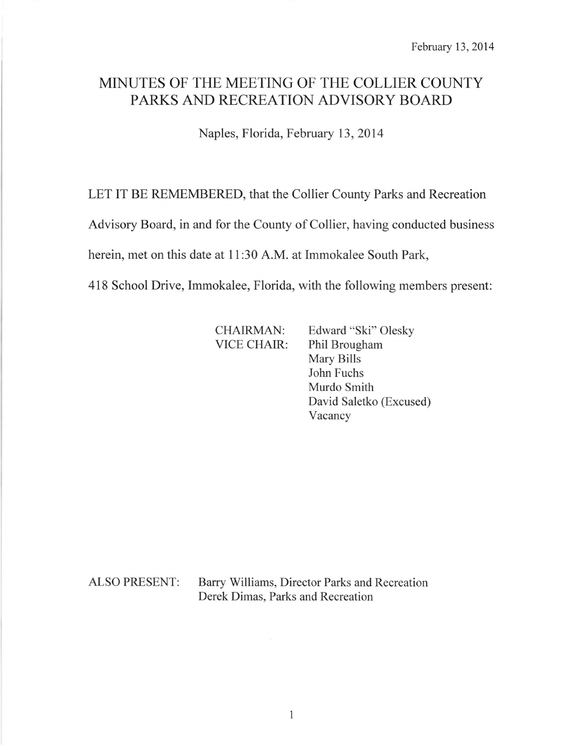# MINUTES OF THE MEETING OF THE COLLIER COUNTY PARKS AND RECREATION ADVISORY BOARD

Naples, Florida, February 13,2014

LET IT BE REMEMBERED, that the Collier County Parks and Recreation

Advisory Board, in and for the County of Collier, having conducted business

herein, met on this date at 11:30 A.M. at Immokalee South Park,

418 School Drive, Immokalee, Florida, with the following members present:

CHAIRMAN: Edward "Ski" Olesky VICE CHAIR: Phil Brougham Mary Bills John Fuchs Murdo Smith David Saletko (Excused) Vacancy

ALSO PRESENT: Barry Williams, Director Parks and Recreation Derek Dimas, Parks and Recreation